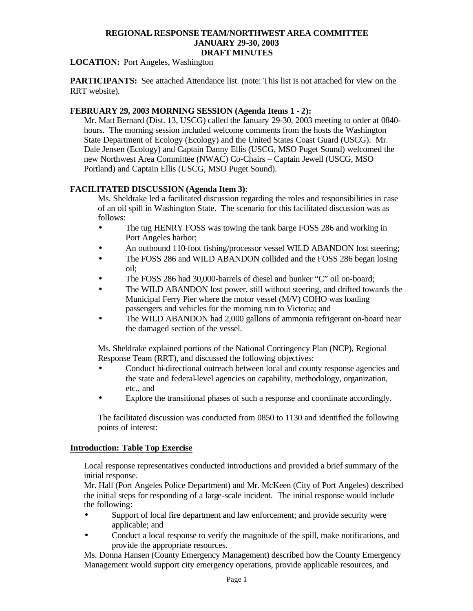**LOCATION:** Port Angeles, Washington

**PARTICIPANTS:** See attached Attendance list. (note: This list is not attached for view on the RRT website).

## **FEBRUARY 29, 2003 MORNING SESSION (Agenda Items 1 - 2):**

Mr. Matt Bernard (Dist. 13, USCG) called the January 29-30, 2003 meeting to order at 0840 hours. The morning session included welcome comments from the hosts the Washington State Department of Ecology (Ecology) and the United States Coast Guard (USCG). Mr. Dale Jensen (Ecology) and Captain Danny Ellis (USCG, MSO Puget Sound) welcomed the new Northwest Area Committee (NWAC) Co-Chairs – Captain Jewell (USCG, MSO Portland) and Captain Ellis (USCG, MSO Puget Sound).

## **FACILITATED DISCUSSION (Agenda Item 3):**

Ms. Sheldrake led a facilitated discussion regarding the roles and responsibilities in case of an oil spill in Washington State. The scenario for this facilitated discussion was as follows:

- The tug HENRY FOSS was towing the tank barge FOSS 286 and working in Port Angeles harbor;
- An outbound 110-foot fishing/processor vessel WILD ABANDON lost steering;
- The FOSS 286 and WILD ABANDON collided and the FOSS 286 began losing oil;
- The FOSS 286 had 30,000-barrels of diesel and bunker "C" oil on-board;
- The WILD ABANDON lost power, still without steering, and drifted towards the Municipal Ferry Pier where the motor vessel (M/V) COHO was loading passengers and vehicles for the morning run to Victoria; and
- The WILD ABANDON had 2,000 gallons of ammonia refrigerant on-board near the damaged section of the vessel.

Ms. Sheldrake explained portions of the National Contingency Plan (NCP), Regional Response Team (RRT), and discussed the following objectives:

- Conduct bi-directional outreach between local and county response agencies and the state and federal-level agencies on capability, methodology, organization, etc., and
- Explore the transitional phases of such a response and coordinate accordingly.

The facilitated discussion was conducted from 0850 to 1130 and identified the following points of interest:

## **Introduction: Table Top Exercise**

Local response representatives conducted introductions and provided a brief summary of the initial response.

Mr. Hall (Port Angeles Police Department) and Mr. McKeen (City of Port Angeles) described the initial steps for responding of a large-scale incident. The initial response would include the following:

- Support of local fire department and law enforcement; and provide security were applicable; and
- Conduct a local response to verify the magnitude of the spill, make notifications, and provide the appropriate resources.

Ms. Donna Hansen (County Emergency Management) described how the County Emergency Management would support city emergency operations, provide applicable resources, and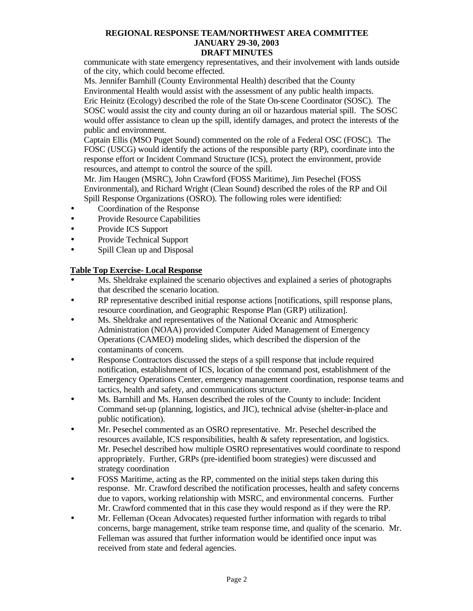communicate with state emergency representatives, and their involvement with lands outside of the city, which could become effected.

Ms. Jennifer Barnhill (County Environmental Health) described that the County

Environmental Health would assist with the assessment of any public health impacts.

Eric Heinitz (Ecology) described the role of the State On-scene Coordinator (SOSC). The SOSC would assist the city and county during an oil or hazardous material spill. The SOSC would offer assistance to clean up the spill, identify damages, and protect the interests of the public and environment.

Captain Ellis (MSO Puget Sound) commented on the role of a Federal OSC (FOSC). The FOSC (USCG) would identify the actions of the responsible party (RP), coordinate into the response effort or Incident Command Structure (ICS), protect the environment, provide resources, and attempt to control the source of the spill.

Mr. Jim Haugen (MSRC), John Crawford (FOSS Maritime), Jim Pesechel (FOSS Environmental), and Richard Wright (Clean Sound) described the roles of the RP and Oil Spill Response Organizations (OSRO). The following roles were identified:

- Coordination of the Response
- Provide Resource Capabilities
- Provide ICS Support
- Provide Technical Support
- Spill Clean up and Disposal

## **Table Top Exercise- Local Response**

- Ms. Sheldrake explained the scenario objectives and explained a series of photographs that described the scenario location.
- RP representative described initial response actions [notifications, spill response plans, resource coordination, and Geographic Response Plan (GRP) utilization].
- Ms. Sheldrake and representatives of the National Oceanic and Atmospheric Administration (NOAA) provided Computer Aided Management of Emergency Operations (CAMEO) modeling slides, which described the dispersion of the contaminants of concern.
- Response Contractors discussed the steps of a spill response that include required notification, establishment of ICS, location of the command post, establishment of the Emergency Operations Center, emergency management coordination, response teams and tactics, health and safety, and communications structure.
- Ms. Barnhill and Ms. Hansen described the roles of the County to include: Incident Command set-up (planning, logistics, and JIC), technical advise (shelter-in-place and public notification).
- Mr. Pesechel commented as an OSRO representative. Mr. Pesechel described the resources available, ICS responsibilities, health & safety representation, and logistics. Mr. Pesechel described how multiple OSRO representatives would coordinate to respond appropriately. Further, GRPs (pre-identified boom strategies) were discussed and strategy coordination
- FOSS Maritime, acting as the RP, commented on the initial steps taken during this response. Mr. Crawford described the notification processes, health and safety concerns due to vapors, working relationship with MSRC, and environmental concerns. Further Mr. Crawford commented that in this case they would respond as if they were the RP.
- Mr. Felleman (Ocean Advocates) requested further information with regards to tribal concerns, barge management, strike team response time, and quality of the scenario. Mr. Felleman was assured that further information would be identified once input was received from state and federal agencies.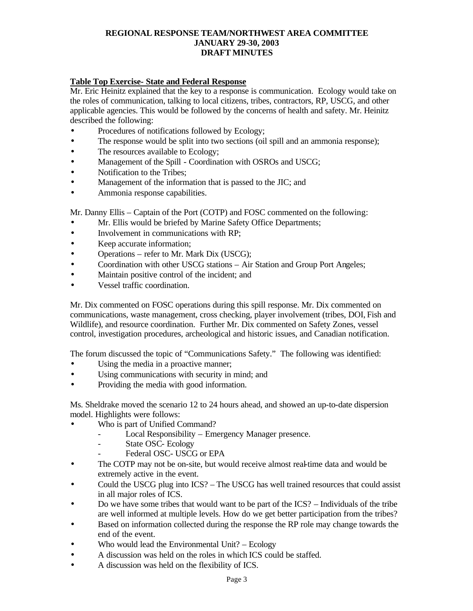## **Table Top Exercise- State and Federal Response**

Mr. Eric Heinitz explained that the key to a response is communication. Ecology would take on the roles of communication, talking to local citizens, tribes, contractors, RP, USCG, and other applicable agencies. This would be followed by the concerns of health and safety. Mr. Heinitz described the following:

- Procedures of notifications followed by Ecology;
- The response would be split into two sections (oil spill and an ammonia response);
- The resources available to Ecology;
- Management of the Spill Coordination with OSROs and USCG;
- Notification to the Tribes;
- Management of the information that is passed to the JIC; and
- Ammonia response capabilities.

Mr. Danny Ellis – Captain of the Port (COTP) and FOSC commented on the following:

- Mr. Ellis would be briefed by Marine Safety Office Departments;
- Involvement in communications with RP;
- Keep accurate information;
- Operations refer to Mr. Mark Dix (USCG);
- Coordination with other USCG stations Air Station and Group Port Angeles;
- Maintain positive control of the incident; and
- Vessel traffic coordination.

Mr. Dix commented on FOSC operations during this spill response. Mr. Dix commented on communications, waste management, cross checking, player involvement (tribes, DOI, Fish and Wildlife), and resource coordination. Further Mr. Dix commented on Safety Zones, vessel control, investigation procedures, archeological and historic issues, and Canadian notification.

The forum discussed the topic of "Communications Safety." The following was identified:

- Using the media in a proactive manner;
- Using communications with security in mind; and
- Providing the media with good information.

Ms. Sheldrake moved the scenario 12 to 24 hours ahead, and showed an up-to-date dispersion model. Highlights were follows:

- Who is part of Unified Command?
	- Local Responsibility Emergency Manager presence.
	- State OSC- Ecology
	- Federal OSC- USCG or EPA
- The COTP may not be on-site, but would receive almost real-time data and would be extremely active in the event.
- Could the USCG plug into ICS? The USCG has well trained resources that could assist in all major roles of ICS.
- Do we have some tribes that would want to be part of the ICS? Individuals of the tribe are well informed at multiple levels. How do we get better participation from the tribes?
- Based on information collected during the response the RP role may change towards the end of the event.
- Who would lead the Environmental Unit? Ecology
- A discussion was held on the roles in which ICS could be staffed.
- A discussion was held on the flexibility of ICS.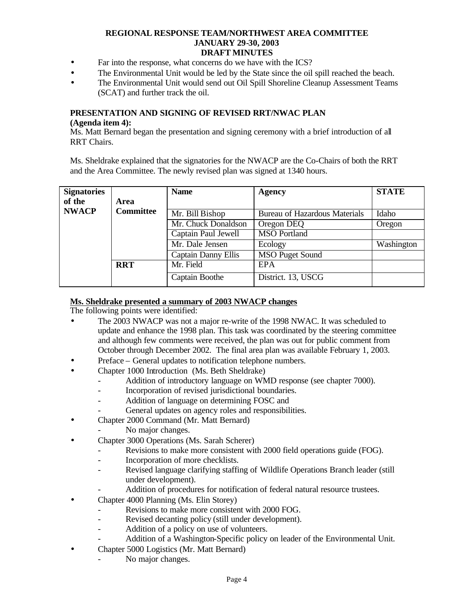- Far into the response, what concerns do we have with the ICS?
- The Environmental Unit would be led by the State since the oil spill reached the beach.
- The Environmental Unit would send out Oil Spill Shoreline Cleanup Assessment Teams (SCAT) and further track the oil.

### **PRESENTATION AND SIGNING OF REVISED RRT/NWAC PLAN**

#### **(Agenda item 4):**

Ms. Matt Bernard began the presentation and signing ceremony with a brief introduction of all RRT Chairs.

Ms. Sheldrake explained that the signatories for the NWACP are the Co-Chairs of both the RRT and the Area Committee. The newly revised plan was signed at 1340 hours.

| <b>Signatories</b> |                  | <b>Name</b>                | Agency                               | <b>STATE</b> |
|--------------------|------------------|----------------------------|--------------------------------------|--------------|
| of the             | Area             |                            |                                      |              |
| <b>NWACP</b>       | <b>Committee</b> | Mr. Bill Bishop            | <b>Bureau of Hazardous Materials</b> | Idaho        |
|                    |                  | Mr. Chuck Donaldson        | Oregon DEQ                           | Oregon       |
|                    |                  | Captain Paul Jewell        | <b>MSO Portland</b>                  |              |
|                    |                  | Mr. Dale Jensen            | Ecology                              | Washington   |
|                    |                  | <b>Captain Danny Ellis</b> | <b>MSO Puget Sound</b>               |              |
|                    | <b>RRT</b>       | Mr. Field                  | EPA                                  |              |
|                    |                  | Captain Boothe             | District. 13, USCG                   |              |

#### **Ms. Sheldrake presented a summary of 2003 NWACP changes**

The following points were identified:

- The 2003 NWACP was not a major re-write of the 1998 NWAC. It was scheduled to update and enhance the 1998 plan. This task was coordinated by the steering committee and although few comments were received, the plan was out for public comment from October through December 2002. The final area plan was available February 1, 2003.
- Preface General updates to notification telephone numbers.
- Chapter 1000 Introduction (Ms. Beth Sheldrake)
	- Addition of introductory language on WMD response (see chapter 7000).
	- Incorporation of revised jurisdictional boundaries.
	- Addition of language on determining FOSC and
	- General updates on agency roles and responsibilities.
- Chapter 2000 Command (Mr. Matt Bernard)
	- No major changes.
- Chapter 3000 Operations (Ms. Sarah Scherer)
	- Revisions to make more consistent with 2000 field operations guide (FOG).
	- Incorporation of more checklists.
	- Revised language clarifying staffing of Wildlife Operations Branch leader (still under development).
		- Addition of procedures for notification of federal natural resource trustees.
- Chapter 4000 Planning (Ms. Elin Storey)
	- Revisions to make more consistent with 2000 FOG.
	- Revised decanting policy (still under development).
	- Addition of a policy on use of volunteers.
		- Addition of a Washington-Specific policy on leader of the Environmental Unit.
- Chapter 5000 Logistics (Mr. Matt Bernard)
	- No major changes.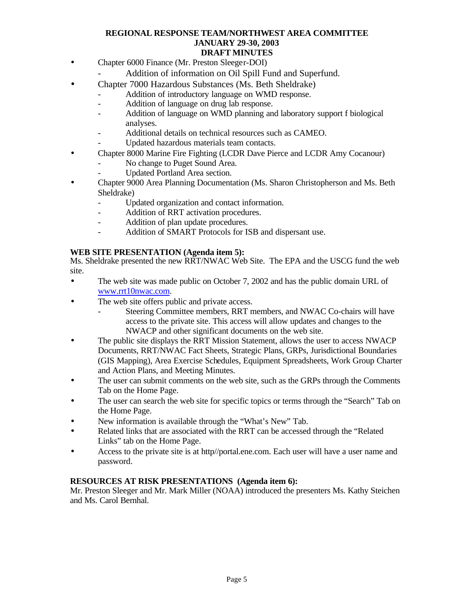- Chapter 6000 Finance (Mr. Preston Sleeger-DOI)
	- Addition of information on Oil Spill Fund and Superfund.
- Chapter 7000 Hazardous Substances (Ms. Beth Sheldrake)
	- Addition of introductory language on WMD response.
	- Addition of language on drug lab response.
	- Addition of language on WMD planning and laboratory support f biological analyses.
	- Additional details on technical resources such as CAMEO.
	- Updated hazardous materials team contacts.
- Chapter 8000 Marine Fire Fighting (LCDR Dave Pierce and LCDR Amy Cocanour)
	- No change to Puget Sound Area.
	- Updated Portland Area section.
- Chapter 9000 Area Planning Documentation (Ms. Sharon Christopherson and Ms. Beth Sheldrake)
	- Updated organization and contact information.
	- Addition of RRT activation procedures.
	- Addition of plan update procedures.
	- Addition of SMART Protocols for ISB and dispersant use.

## **WEB SITE PRESENTATION (Agenda item 5):**

Ms. Sheldrake presented the new RRT/NWAC Web Site. The EPA and the USCG fund the web site.

- The web site was made public on October 7, 2002 and has the public domain URL of www.rrt10nwac.com.
- The web site offers public and private access.
	- Steering Committee members, RRT members, and NWAC Co-chairs will have access to the private site. This access will allow updates and changes to the NWACP and other significant documents on the web site.
- The public site displays the RRT Mission Statement, allows the user to access NWACP Documents, RRT/NWAC Fact Sheets, Strategic Plans, GRPs, Jurisdictional Boundaries (GIS Mapping), Area Exercise Schedules, Equipment Spreadsheets, Work Group Charter and Action Plans, and Meeting Minutes.
- The user can submit comments on the web site, such as the GRPs through the Comments Tab on the Home Page.
- The user can search the web site for specific topics or terms through the "Search" Tab on the Home Page.
- New information is available through the "What's New" Tab.
- Related links that are associated with the RRT can be accessed through the "Related Links" tab on the Home Page.
- Access to the private site is at http//portal.ene.com. Each user will have a user name and password.

## **RESOURCES AT RISK PRESENTATIONS (Agenda item 6):**

Mr. Preston Sleeger and Mr. Mark Miller (NOAA) introduced the presenters Ms. Kathy Steichen and Ms. Carol Bernhal.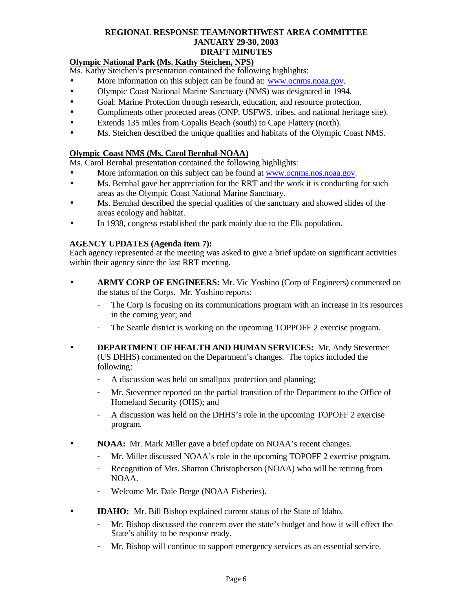## **Olympic National Park (Ms. Kathy Steichen, NPS)**

Ms. Kathy Steichen's presentation contained the following highlights:

- More information on this subject can be found at: www.ocnms.noaa.gov.
- Olympic Coast National Marine Sanctuary (NMS) was designated in 1994.
- Goal: Marine Protection through research, education, and resource protection.
- Compliments other protected areas (ONP, USFWS, tribes, and national heritage site).
- Extends 135 miles from Copalis Beach (south) to Cape Flattery (north).
- Ms. Steichen described the unique qualities and habitats of the Olympic Coast NMS.

## **Olympic Coast NMS (Ms. Carol Bernhal-NOAA)**

Ms. Carol Bernhal presentation contained the following highlights:

- More information on this subject can be found at www.ocnms.nos.noaa.gov.
- Ms. Bernhal gave her appreciation for the RRT and the work it is conducting for such areas as the Olympic Coast National Marine Sanctuary.
- Ms. Bernhal described the special qualities of the sanctuary and showed slides of the areas ecology and habitat.
- In 1938, congress established the park mainly due to the Elk population.

## **AGENCY UPDATES (Agenda item 7):**

Each agency represented at the meeting was asked to give a brief update on significant activities within their agency since the last RRT meeting.

- **ARMY CORP OF ENGINEERS:** Mr. Vic Yoshino (Corp of Engineers) commented on the status of the Corps. Mr. Yoshino reports:
	- The Corp is focusing on its communications program with an increase in its resources in the coming year; and
	- The Seattle district is working on the upcoming TOPPOFF 2 exercise program.
- **DEPARTMENT OF HEALTH AND HUMAN SERVICES:** Mr. Andy Stevermer (US DHHS) commented on the Department's changes. The topics included the following:
	- A discussion was held on smallpox protection and planning;
	- Mr. Stevermer reported on the partial transition of the Department to the Office of Homeland Security (OHS); and
	- A discussion was held on the DHHS's role in the upcoming TOPOFF 2 exercise program.
- **NOAA:** Mr. Mark Miller gave a brief update on NOAA's recent changes.
	- Mr. Miller discussed NOAA's role in the upcoming TOPOFF 2 exercise program.
	- Recognition of Mrs. Sharron Christopherson (NOAA) who will be retiring from NOAA.
	- Welcome Mr. Dale Brege (NOAA Fisheries).
- **IDAHO:** Mr. Bill Bishop explained current status of the State of Idaho.
	- Mr. Bishop discussed the concern over the state's budget and how it will effect the State's ability to be response ready.
	- Mr. Bishop will continue to support emergency services as an essential service.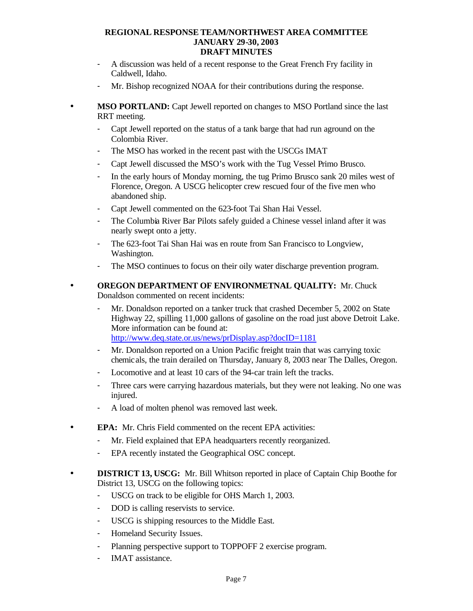- A discussion was held of a recent response to the Great French Fry facility in Caldwell, Idaho.
- Mr. Bishop recognized NOAA for their contributions during the response.
- **MSO PORTLAND:** Capt Jewell reported on changes to MSO Portland since the last RRT meeting.
	- Capt Jewell reported on the status of a tank barge that had run aground on the Colombia River.
	- The MSO has worked in the recent past with the USCGs IMAT
	- Capt Jewell discussed the MSO's work with the Tug Vessel Primo Brusco.
	- In the early hours of Monday morning, the tug Primo Brusco sank 20 miles west of Florence, Oregon. A USCG helicopter crew rescued four of the five men who abandoned ship.
	- Capt Jewell commented on the 623-foot Tai Shan Hai Vessel.
	- The Columbia River Bar Pilots safely guided a Chinese vessel inland after it was nearly swept onto a jetty.
	- The 623-foot Tai Shan Hai was en route from San Francisco to Longview, Washington.
	- The MSO continues to focus on their oily water discharge prevention program.
- **OREGON DEPARTMENT OF ENVIRONMETNAL QUALITY:** Mr. Chuck Donaldson commented on recent incidents:
	- Mr. Donaldson reported on a tanker truck that crashed December 5, 2002 on State Highway 22, spilling 11,000 gallons of gasoline on the road just above Detroit Lake. More information can be found at: http://www.deq.state.or.us/news/prDisplay.asp?docID=1181
	- Mr. Donaldson reported on a Union Pacific freight train that was carrying toxic chemicals, the train derailed on Thursday, January 8, 2003 near The Dalles, Oregon.
	- Locomotive and at least 10 cars of the 94-car train left the tracks.
	- Three cars were carrying hazardous materials, but they were not leaking. No one was injured.
	- A load of molten phenol was removed last week.
- **EPA:** Mr. Chris Field commented on the recent EPA activities:
	- Mr. Field explained that EPA headquarters recently reorganized.
	- EPA recently instated the Geographical OSC concept.
- **DISTRICT 13, USCG:** Mr. Bill Whitson reported in place of Captain Chip Boothe for District 13, USCG on the following topics:
	- USCG on track to be eligible for OHS March 1, 2003.
	- DOD is calling reservists to service.
	- USCG is shipping resources to the Middle East.
	- Homeland Security Issues.
	- Planning perspective support to TOPPOFF 2 exercise program.
	- IMAT assistance.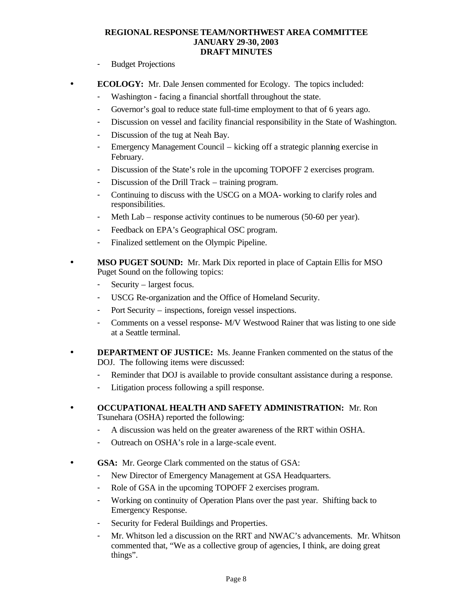- Budget Projections
- **ECOLOGY:** Mr. Dale Jensen commented for Ecology. The topics included:
	- Washington facing a financial shortfall throughout the state.
	- Governor's goal to reduce state full-time employment to that of 6 years ago.
	- Discussion on vessel and facility financial responsibility in the State of Washington.
	- Discussion of the tug at Neah Bay.
	- Emergency Management Council kicking off a strategic planning exercise in February.
	- Discussion of the State's role in the upcoming TOPOFF 2 exercises program.
	- Discussion of the Drill Track training program.
	- Continuing to discuss with the USCG on a MOA- working to clarify roles and responsibilities.
	- Meth Lab response activity continues to be numerous (50-60 per year).
	- Feedback on EPA's Geographical OSC program.
	- Finalized settlement on the Olympic Pipeline.
- **MSO PUGET SOUND:** Mr. Mark Dix reported in place of Captain Ellis for MSO Puget Sound on the following topics:
	- Security largest focus.
	- USCG Re-organization and the Office of Homeland Security.
	- Port Security inspections, foreign vessel inspections.
	- Comments on a vessel response- M/V Westwood Rainer that was listing to one side at a Seattle terminal.
- **DEPARTMENT OF JUSTICE:** Ms. Jeanne Franken commented on the status of the DOJ. The following items were discussed:
	- Reminder that DOJ is available to provide consultant assistance during a response.
	- Litigation process following a spill response.
- **OCCUPATIONAL HEALTH AND SAFETY ADMINISTRATION:** Mr. Ron Tsunehara (OSHA) reported the following:
	- A discussion was held on the greater awareness of the RRT within OSHA.
	- Outreach on OSHA's role in a large-scale event.
- **GSA:** Mr. George Clark commented on the status of GSA:
	- New Director of Emergency Management at GSA Headquarters.
	- Role of GSA in the upcoming TOPOFF 2 exercises program.
	- Working on continuity of Operation Plans over the past year. Shifting back to Emergency Response.
	- Security for Federal Buildings and Properties.
	- Mr. Whitson led a discussion on the RRT and NWAC's advancements. Mr. Whitson commented that, "We as a collective group of agencies, I think, are doing great things".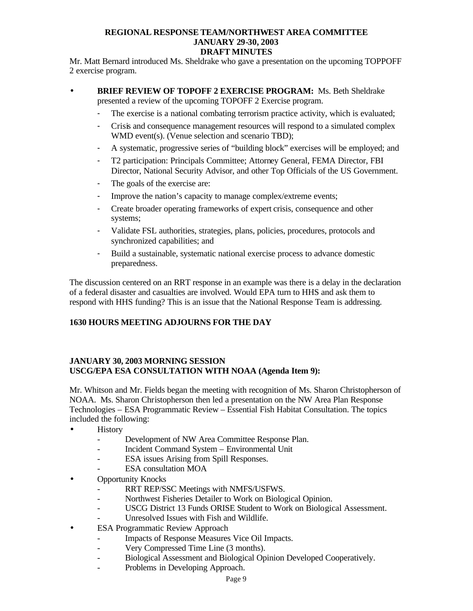Mr. Matt Bernard introduced Ms. Sheldrake who gave a presentation on the upcoming TOPPOFF 2 exercise program.

- **BRIEF REVIEW OF TOPOFF 2 EXERCISE PROGRAM:** Ms. Beth Sheldrake presented a review of the upcoming TOPOFF 2 Exercise program.
	- The exercise is a national combating terrorism practice activity, which is evaluated;
	- Crisis and consequence management resources will respond to a simulated complex WMD event(s). (Venue selection and scenario TBD);
	- A systematic, progressive series of "building block" exercises will be employed; and
	- T2 participation: Principals Committee; Attorney General, FEMA Director, FBI Director, National Security Advisor, and other Top Officials of the US Government.
	- The goals of the exercise are:
	- Improve the nation's capacity to manage complex/extreme events;
	- Create broader operating frameworks of expert crisis, consequence and other systems;
	- Validate FSL authorities, strategies, plans, policies, procedures, protocols and synchronized capabilities; and
	- Build a sustainable, systematic national exercise process to advance domestic preparedness.

The discussion centered on an RRT response in an example was there is a delay in the declaration of a federal disaster and casualties are involved. Would EPA turn to HHS and ask them to respond with HHS funding? This is an issue that the National Response Team is addressing.

# **1630 HOURS MEETING ADJOURNS FOR THE DAY**

## **JANUARY 30, 2003 MORNING SESSION USCG/EPA ESA CONSULTATION WITH NOAA (Agenda Item 9):**

Mr. Whitson and Mr. Fields began the meeting with recognition of Ms. Sharon Christopherson of NOAA. Ms. Sharon Christopherson then led a presentation on the NW Area Plan Response Technologies – ESA Programmatic Review – Essential Fish Habitat Consultation. The topics included the following:

- History
	- Development of NW Area Committee Response Plan.
	- Incident Command System Environmental Unit
	- ESA issues Arising from Spill Responses.
	- ESA consultation MOA
- **Opportunity Knocks** 
	- RRT REP/SSC Meetings with NMFS/USFWS.
	- Northwest Fisheries Detailer to Work on Biological Opinion.
	- USCG District 13 Funds ORISE Student to Work on Biological Assessment.
	- Unresolved Issues with Fish and Wildlife.
- **ESA Programmatic Review Approach** 
	- Impacts of Response Measures Vice Oil Impacts.
	- Very Compressed Time Line (3 months).
	- Biological Assessment and Biological Opinion Developed Cooperatively.
	- Problems in Developing Approach.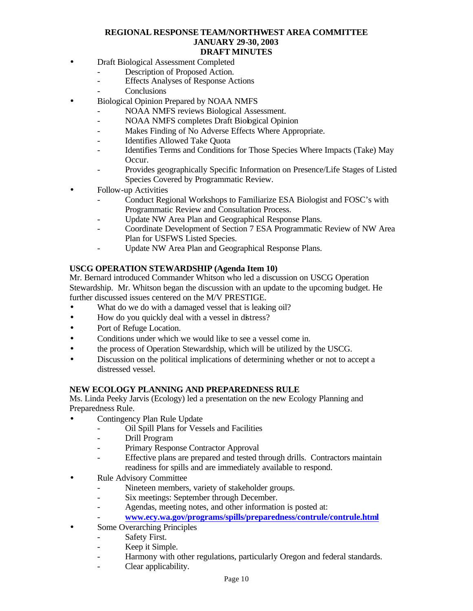- Draft Biological Assessment Completed
	- Description of Proposed Action.
	- Effects Analyses of Response Actions
	- Conclusions
- Biological Opinion Prepared by NOAA NMFS
	- NOAA NMFS reviews Biological Assessment.
	- NOAA NMFS completes Draft Biological Opinion
	- Makes Finding of No Adverse Effects Where Appropriate.
	- Identifies Allowed Take Quota
	- Identifies Terms and Conditions for Those Species Where Impacts (Take) May Occur.
	- Provides geographically Specific Information on Presence/Life Stages of Listed Species Covered by Programmatic Review.
- Follow-up Activities
	- Conduct Regional Workshops to Familiarize ESA Biologist and FOSC's with Programmatic Review and Consultation Process.
	- Update NW Area Plan and Geographical Response Plans.
	- Coordinate Development of Section 7 ESA Programmatic Review of NW Area Plan for USFWS Listed Species.
	- Update NW Area Plan and Geographical Response Plans.

## **USCG OPERATION STEWARDSHIP (Agenda Item 10)**

Mr. Bernard introduced Commander Whitson who led a discussion on USCG Operation Stewardship. Mr. Whitson began the discussion with an update to the upcoming budget. He further discussed issues centered on the M/V PRESTIGE.

- What do we do with a damaged vessel that is leaking oil?
- How do you quickly deal with a vessel in distress?
- Port of Refuge Location.
- Conditions under which we would like to see a vessel come in.
- the process of Operation Stewardship, which will be utilized by the USCG.
- Discussion on the political implications of determining whether or not to accept a distressed vessel.

## **NEW ECOLOGY PLANNING AND PREPAREDNESS RULE**

Ms. Linda Peeky Jarvis (Ecology) led a presentation on the new Ecology Planning and Preparedness Rule.

- Contingency Plan Rule Update
	- Oil Spill Plans for Vessels and Facilities
	- Drill Program
	- Primary Response Contractor Approval
	- Effective plans are prepared and tested through drills. Contractors maintain readiness for spills and are immediately available to respond.
- Rule Advisory Committee
	- Nineteen members, variety of stakeholder groups.
	- Six meetings: September through December.
	- Agendas, meeting notes, and other information is posted at:
	- **www.ecy.wa.gov/programs/spills/preparedness/contrule/contrule.html**
- Some Overarching Principles
	- Safety First.
	- Keep it Simple.
	- Harmony with other regulations, particularly Oregon and federal standards.
	- Clear applicability.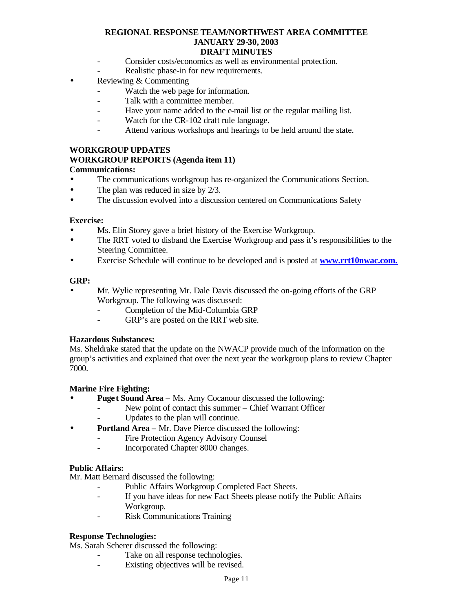- Consider costs/economics as well as environmental protection.
- Realistic phase-in for new requirements.
- Reviewing & Commenting
	- Watch the web page for information.
	- Talk with a committee member.
	- Have your name added to the e-mail list or the regular mailing list.
	- Watch for the CR-102 draft rule language.
	- Attend various workshops and hearings to be held around the state.

## **WORKGROUP UPDATES**

## **WORKGROUP REPORTS (Agenda item 11)**

## **Communications:**

- The communications workgroup has re-organized the Communications Section.
- The plan was reduced in size by 2/3.
- The discussion evolved into a discussion centered on Communications Safety

## **Exercise:**

- Ms. Elin Storey gave a brief history of the Exercise Workgroup.
- The RRT voted to disband the Exercise Workgroup and pass it's responsibilities to the Steering Committee.
- Exercise Schedule will continue to be developed and is posted at **www.rrt10nwac.com.**

## **GRP:**

- Mr. Wylie representing Mr. Dale Davis discussed the on-going efforts of the GRP Workgroup. The following was discussed:
	- Completion of the Mid-Columbia GRP
	- GRP's are posted on the RRT web site.

## **Hazardous Substances:**

Ms. Sheldrake stated that the update on the NWACP provide much of the information on the group's activities and explained that over the next year the workgroup plans to review Chapter 7000.

## **Marine Fire Fighting:**

- **Puget Sound Area**  Ms. Amy Cocanour discussed the following:
	- New point of contact this summer Chief Warrant Officer
	- Updates to the plan will continue.
- **Portland Area –** Mr. Dave Pierce discussed the following:
	- Fire Protection Agency Advisory Counsel
	- Incorporated Chapter 8000 changes.

## **Public Affairs:**

Mr. Matt Bernard discussed the following:

- Public Affairs Workgroup Completed Fact Sheets.
- If you have ideas for new Fact Sheets please notify the Public Affairs Workgroup.
- Risk Communications Training

## **Response Technologies:**

Ms. Sarah Scherer discussed the following:

- Take on all response technologies.
- Existing objectives will be revised.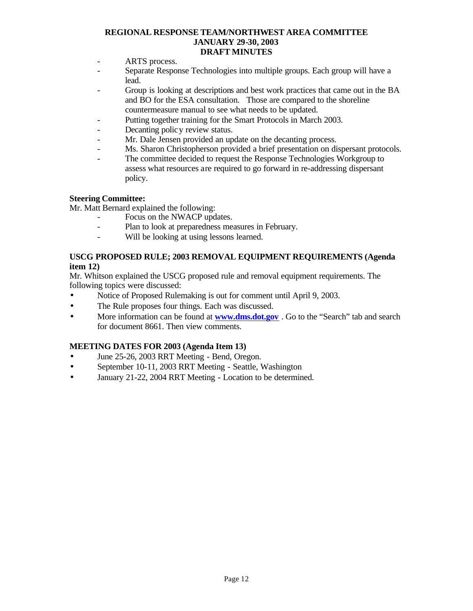- ARTS process.
- Separate Response Technologies into multiple groups. Each group will have a lead.
- Group is looking at descriptions and best work practices that came out in the BA and BO for the ESA consultation. Those are compared to the shoreline countermeasure manual to see what needs to be updated.
- Putting together training for the Smart Protocols in March 2003.
- Decanting policy review status.
- Mr. Dale Jensen provided an update on the decanting process.
- Ms. Sharon Christopherson provided a brief presentation on dispersant protocols.
- The committee decided to request the Response Technologies Workgroup to assess what resources are required to go forward in re-addressing dispersant policy.

## **Steering Committee:**

Mr. Matt Bernard explained the following:

- Focus on the NWACP updates.
- Plan to look at preparedness measures in February.
- Will be looking at using lessons learned.

## **USCG PROPOSED RULE; 2003 REMOVAL EQUIPMENT REQUIREMENTS (Agenda item 12)**

Mr. Whitson explained the USCG proposed rule and removal equipment requirements. The following topics were discussed:

- Notice of Proposed Rulemaking is out for comment until April 9, 2003.
- The Rule proposes four things. Each was discussed.
- More information can be found at **www.dms.dot.gov**. Go to the "Search" tab and search for document 8661. Then view comments.

## **MEETING DATES FOR 2003 (Agenda Item 13)**

- June 25-26, 2003 RRT Meeting Bend, Oregon.
- September 10-11, 2003 RRT Meeting Seattle, Washington
- January 21-22, 2004 RRT Meeting Location to be determined.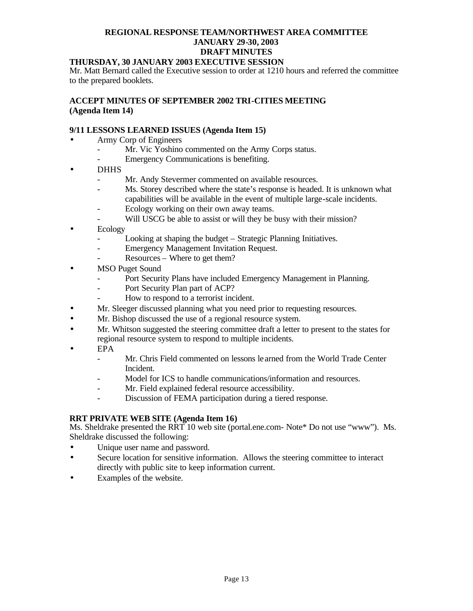#### **THURSDAY, 30 JANUARY 2003 EXECUTIVE SESSION**

Mr. Matt Bernard called the Executive session to order at 1210 hours and referred the committee to the prepared booklets.

## **ACCEPT MINUTES OF SEPTEMBER 2002 TRI-CITIES MEETING (Agenda Item 14)**

## **9/11 LESSONS LEARNED ISSUES (Agenda Item 15)**

- Army Corp of Engineers
	- Mr. Vic Yoshino commented on the Army Corps status.
	- Emergency Communications is benefiting.
- DHHS
	- Mr. Andy Stevermer commented on available resources.
	- Ms. Storey described where the state's response is headed. It is unknown what capabilities will be available in the event of multiple large-scale incidents.
	- Ecology working on their own away teams.
		- Will USCG be able to assist or will they be busy with their mission?
- Ecology
	- Looking at shaping the budget Strategic Planning Initiatives.
	- Emergency Management Invitation Request.
	- Resources Where to get them?
- **MSO Puget Sound** 
	- Port Security Plans have included Emergency Management in Planning.
	- Port Security Plan part of ACP?
	- How to respond to a terrorist incident.
- Mr. Sleeger discussed planning what you need prior to requesting resources.
- Mr. Bishop discussed the use of a regional resource system.
- Mr. Whitson suggested the steering committee draft a letter to present to the states for regional resource system to respond to multiple incidents.
- EPA
	- Mr. Chris Field commented on lessons le arned from the World Trade Center Incident.
	- Model for ICS to handle communications/information and resources.
	- Mr. Field explained federal resource accessibility.
	- Discussion of FEMA participation during a tiered response.

## **RRT PRIVATE WEB SITE (Agenda Item 16)**

Ms. Sheldrake presented the RRT 10 web site (portal.ene.com- Note\* Do not use "www"). Ms. Sheldrake discussed the following:

- Unique user name and password.
- Secure location for sensitive information. Allows the steering committee to interact directly with public site to keep information current.
- Examples of the website.